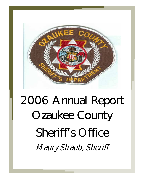

# 2006 Annual Report Ozaukee County Sheriff's Office Maury Straub, Sheriff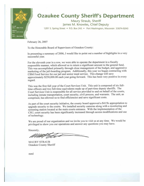

# **Ozaukee County Sheriff's Department**

Maury Straub, Sheriff James M. Knowles, Chief Deputy 1201 S. Spring Street . P.O. Box 245 . Port Washington, Wisconsin 53074-0245

February 26, 2007

To the Honorable Board of Supervisors of Ozaukee County:

In presenting a summary of 2006, I would like to point out a number of highlights in a very successful year.

For the eleventh year in a row, we were able to operate the department in a fiscally responsible manner, which allowed us to return a significant amount to the general fund. This was accomplished primarily through close management of the budget, and aggressive marketing of the jail-boarding program. Additionally, this year we began contracting with CBM Food Service for our jail and senior meal service. This change will save approximately \$250,000.00 each year going forward. This has been very positive in every regard.

This was the first full year of the Court Services Unit. This unit is composed of six fulltime officers and two full-time equivalents made up of part-time deputy sheriffs. The Court Services Unit is responsible for all service provided to and on behalf of the courts, including inmate transportation, court security, civil process, and warrants. The unit, as comprised, has allowed us to find efficiencies and save significant costs.

As part of the court security initiative, the county board approved a \$415k appropriation to upgrade security to the courts. We installed security cameras along with a monitoring and screening station located at the main courts entrance. With the implementation of the CSU, court security has been significantly increased through access modifications and use of technology.

We are proud of our organization and we invite you to visit us at any time. We would be privileged to show you our operations and answer any questions you may have.

Sincerely,

**MAURY STRAUB** Ozaukee County Sheriff

mml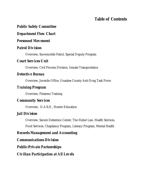#### **Table of Contents**

#### *Public Safety Committee*

#### *Department Flow Chart*

#### *Personnel Movement*

#### *Patrol Division*

Overview, Snowmobile Patrol, Special Deputy Program

#### *Court Services Unit*

Overview, Civil Process Division, Inmate Transportation

#### *Detective Bureau*

Overview, Juvenile Office, Ozaukee County Anti-Drug Task Force

#### *Training Program*

Overview, Firearms Training

#### *Community Services*

Overview, D.A.R.E., Hunter Education

#### *Jail Division*

Overview, Secure Detention Center, The Huber Law, Health Services,

Food Services, Chaplaincy Program, Literacy Program, Mental Health

#### *Records Management and Accounting*

*Communications Division* 

*Public-Private Partnerships* 

*Civilian Participation at All Levels*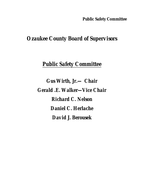#### **Public Safety Committee**

# *Ozaukee County Board of Supervisors*

# *Public Safety Committee*

*Gus Wirth, Jr.— Chair Gerald .E. Walker—Vice Chair Richard C. Nelson Daniel C. Herlache David J. Berousek*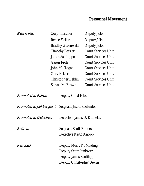## **Personnel Movement**

| <i>New Hires:</i>                                          |                          | Cory Thatcher                | Deputy Jailer              |  |
|------------------------------------------------------------|--------------------------|------------------------------|----------------------------|--|
|                                                            | Renee Keller             |                              | Deputy Jailer              |  |
|                                                            | <b>Bradley Greenwald</b> |                              | Deputy Jailer              |  |
|                                                            |                          | <b>Timothy Tessler</b>       | <b>Court Services Unit</b> |  |
|                                                            |                          | James Sanfilippo             | <b>Court Services Unit</b> |  |
|                                                            |                          | Aaron Froh                   | <b>Court Services Unit</b> |  |
|                                                            |                          | John M. Hogan                | <b>Court Services Unit</b> |  |
|                                                            |                          | <b>Gary Belzer</b>           | <b>Court Services Unit</b> |  |
|                                                            |                          | Christopher Beldin           | <b>Court Services Unit</b> |  |
|                                                            |                          | Steven M. Brown              | <b>Court Services Unit</b> |  |
| <b>Promoted to Patrol:</b>                                 |                          | Deputy Chad Eibs             |                            |  |
| <i>Promoted to Jail Sergeant:</i> Sergeant Jason Shelander |                          |                              |                            |  |
| <b>Promoted to Detective:</b>                              |                          | Detective James D. Knowles   |                            |  |
| Retired:                                                   |                          | <b>Sergeant Scott Enders</b> |                            |  |
|                                                            |                          | Detective Keith Knopp        |                            |  |
| Resigned:                                                  |                          | Deputy Merry K. Mieding      |                            |  |
|                                                            |                          | <b>Deputy Scott Penkwitz</b> |                            |  |
|                                                            |                          | Deputy James Sanfilippo      |                            |  |
|                                                            |                          | Deputy Christopher Beldin    |                            |  |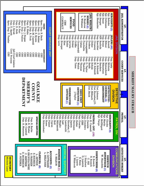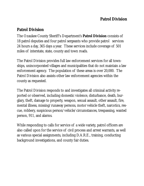## **Patrol Division**

## **Patrol Division**

The Ozaukee County Sheriff's Department's **Patrol Division** consists of 18 patrol deputies and four patrol sergeants who provide patrol services 24 hours a day, 365 days a year. These services include coverage of 501 miles of interstate, state, county and town roads.

The Patrol Division provides full law enforcement services for all townships, unincorporated villages and municipalities that do not maintain a law enforcement agency. The population of these areas is over 20,000. The Patrol Division also assists other law enforcement agencies within the county as requested.

The Patrol Division responds to and investigates all criminal activity reported or observed, including domestic violence, disturbance, death, burglary, theft, damage to property, weapon, sexual assault, other assault, fire, mental illness, missing/runaway persons, motor vehicle theft, narcotics, rescue, robbery, suspicious person/vehicle/circumstances, trespassing, wanted person, 911, and alarms.

While responding to calls for service of a wide variety, patrol officers are also called upon for the service of civil process and arrest warrants, as well as various special assignments, including D.A.R.E., training, conducting background investigations, and county fair duties.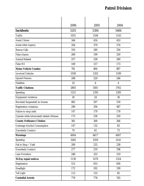## **Patrol Division**

|                                            | 2006 | 2005            | 2004           |
|--------------------------------------------|------|-----------------|----------------|
| <b>Incidents</b>                           | 5201 | 5384            | 5484           |
| Traffic                                    | 1031 | 1184            | 1143           |
| <b>Assist Citizen</b>                      | 344  | 416             | 410            |
| Assist other Agency                        | 326  | 379             | 374            |
| <b>Rescue Calls</b>                        | 316  | 340             | 354            |
| <b>False Alarms</b>                        | 269  | 199             | 250            |
| <b>Animal Related</b>                      | 257  | 228             | 260            |
| False 911                                  | 109  | 157             | 173            |
| <b>Motor Vehicle Crashes</b>               | 781  | 864             | 887            |
| <b>Involved Vehicles</b>                   | 1036 | 1202            | 1189           |
| <b>Injured Persons</b>                     | 208  | 229             | 246            |
| Fatalities                                 | 10   | $6\phantom{1}6$ | $\overline{4}$ |
| <b>Traffic Citations</b>                   | 2865 | 3581            | 3762           |
| Speeding                                   | 1231 | 1350            | 1285           |
| Equipment violations                       | 30   | 24              | 30             |
| Revoked/Suspended/no license               | 482  | 507             | 518            |
| Registration violations                    | 290  | 356             | 487            |
| Failure to stop/yield                      | 147  | 179             | 178            |
| Operate while intoxicated/related offenses | 175  | 236             | 250            |
| <b>County Ordinance Citation</b>           | 381  | 300             | 266            |
| Underage Alcohol Consumption               | 147  | 132             | 83             |
| <b>Disorderly Conduct</b>                  | 70   | 62              | 75             |
| <b>Warnings</b>                            | 6004 | 6617            | 6007           |
| Speeding                                   | 3282 | 3359            | 3141           |
| Fail to Stop / Yield                       | 200  | 233             | 238            |
| <b>Disorderly Conduct</b>                  | 277  | 219             | 196            |
| Lane Deviation                             | 248  | 333             | 319            |
| 15-Day repair notices                      | 1130 | 1476            | 1324           |
| Registration                               | 512  | 653             | 656            |
| Headlight                                  | 172  | 202             | 199            |
| Tail Light                                 | 113  | 133             | 85             |
| <b>Custodial Arrests</b>                   | 779  | 778             | 765            |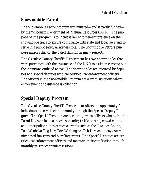## **Patrol Division**

## *Snowmobile Patrol*

The Snowmobile Patrol program was initiated—and is partly funded by the Wisconsin Department of Natural Resources (DNR). The purpose of the program is to increase law enforcement presence on the snowmobile trails to ensure compliance with state and local laws, and to serve in a public safety awareness role. The Snowmobile Patrol's purpose mirrors that of the patrol division in many respects.

The Ozaukee County Sheriff's Department has two snowmobiles that were purchased with the assistance of the DNR to assist in carrying out the intentions outlined above. The snowmobiles are operated by deputies and special deputies who are certified law enforcement officers. The officers in the Snowmobile Program are alert to situations where enforcement or assistance is called for.

# *Special Deputy Program*

The Ozaukee County Sheriff's Department offers the opportunity for individuals to serve their community through the Special Deputy Program. The Special Deputies are part-time, sworn officers who assist the Patrol Division in areas such as security, traffic control, crowd control and other police duties at special events such as the Ozaukee County Fair, Waubeka Flag Day, Port Washington Fish Day, and many community based fun-runs and bicycling events. The Special Deputies are certified law enforcement officers and maintain their certification through monthly in-service training sessions.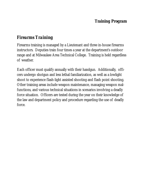## **Training Program**

# *Firearms Training*

Firearms training is managed by a Lieutenant and three in-house firearms instructors. Deputies train four times a year at the department's outdoor range and at Milwaukee Area Technical College. Training is held regardless of weather.

Each officer must qualify annually with their handgun. Additionally, officers undergo shotgun and less lethal familiarization, as well as a lowlight shoot to experience flash-light assisted shooting and flash point shooting. Other training areas include weapon maintenance, managing weapon malfunctions, and various technical situations in scenarios involving a deadly force situation. Officers are tested during the year on their knowledge of the law and department policy and procedure regarding the use of deadly force.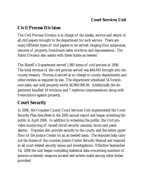## **Court Services Unit**

# *Civil Process Division*

The Civil Process Division is in charge of the intake, service and return of all civil papers brought to the department for such service. There are many different types of civil papers to be served, ranging from subpoenas, seizures of property, foreclosure sales, evictions and repossessions. The Patrol Division also assists with these duties as needed.

The Sheriff 's Department served 1,985 items of civil process in 2006. The total revenue of the civil process served was \$44,945 brought into the county treasury. Process is served at no charge to county departments and other entities as required by law. The department scheduled 54 foreclosure sales, and sold property worth \$6,900.000.00. Additionally the department handled 18 evictions and 7 replevins (repossessions) along with 9 executions against property.

# *Court Security*

In 2006, the Ozaukee County Court Services Unit implemented the Court Security Plan described in the 2005 annual report and began screening the public in April 2006. In addition to screening the public, the Unit provides monitoring of closed circuit security cameras, doors and panic alarms. Deputies also provide security to the courts, and the entire upper floor of the Justice Center on an as needed basis. The deputies help carry out the duties of the counties Justice Center Security Manual and respond to all court related security issues and investigations. Effective September 1st, 2006 the unit began compiling statistical data concerning numbers of persons screened, weapons located and arrests made among other duties provided.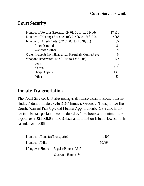## *Court Security*

| Number of Persons Screened $(09/01/06$ to $12/31/06$ )      | 17,836 |
|-------------------------------------------------------------|--------|
| Number of Hearings Attended (09/01/06 to 12/31/06)          | 2,965  |
| Number of Arrests Total (09/01/06 to 12/31/06)              | 55     |
| <b>Court Directed</b>                                       | 34     |
| Warrants / other                                            | 21     |
| Other Incidents Investigated (i.e. Disorderly Conduct etc.) | 9      |
| Weapons Discovered (09/01/06 to 12/31/06)                   | 472    |
| Guns                                                        |        |
| Knives                                                      | 313    |
| <b>Sharp Objects</b>                                        | 136    |
| Other                                                       | 22     |
|                                                             |        |

## *Inmate Transportation*

The Court Services Unit also manages all inmate transportation. This includes Federal Inmates, State DOC Inmates, Orders to Transport for the Courts, Warrant Pick Ups, and Medical Appointments. Overtime hours for inmate transportation were reduced by 1480 hours at a minimum savings of over **\$54,000.00**. The Statistical information listed below is for the calendar year 2006.

|                 | Number of Inmates Transported        |        |
|-----------------|--------------------------------------|--------|
| Number of Miles |                                      | 90.693 |
|                 | Manpower Hours: Regular Hours: 6,615 |        |
|                 | Overtime Hours: 641                  |        |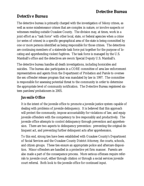#### **Detective Bureau**

#### *Detective Bureau*

The detective bureau is primarily charged with the investigation of felony crimes, as well as some misdemeanor crimes that are complex in nature, or involve suspects or witnesses residing outside Ozaukee County. The division may, at times, work in a joint effort as a "task force" with other local, state, or federal agencies when a crime (or series of crimes) in a specific geographical area of the state is being committed by one or more persons identified as being responsible for those crimes. The detectives are continuing members of a statewide task force put together for the purpose of locating and apprehending violent fugitives. The task force is managed by the U.S. Marshall's office and the detectives are sworn Special Deputy U.S. Marshall's.

The detective bureau handles all death investigations, including homicides and suicides. The bureau also participates in a CORE committee of area law enforcement representatives and agents from the Department of Probation and Parole to oversee the sex offender release program that was mandated by law in 1997. The committee is responsible for assessing potential threat to the community in order to determine the appropriate level of community notification. The Detective Bureau registered sixteen parolees/probationers in 2005.

#### *Juvenile Office*

It is the intent of the juvenile office to promote a juvenile justice system capable of dealing with problems of juvenile delinquency. It is believed that this approach will protect the community, impose accountability for violations of law, and equip juvenile offenders with the competency to live responsibly and productively. The juvenile office attempts to control delinquency through prevention and apprehension. There are two aspects to delinquency prevention: preventing the original delinquent act, and preventing further delinquent acts after apprehension.

To this end, strong ties have been established with Ozaukee County's Department of Social Services and the Ozaukee County District Attorney, the courts, schools, and citizen groups. These ties ensure an appropriate police and aftercare disposition. Minor offenders are handled in a protective yet firm manner. Parents are also made a part of the consequence process. More serious offenses require referrals to juvenile court, either through citation or through a social services juvenile court referral. Both look to the juvenile office for continued input.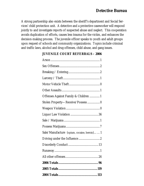A strong partnership also exists between the sheriff's department and Social Services' child protection unit. A detective and a protective caseworker will respond jointly to and investigate reports of suspected abuse and neglect. This cooperation avoids duplication of efforts, causes less trauma for the victim, and enhances the decision-making process. The juvenile officer speaks to youth and adult groups upon request of schools and community organizations. Topics include criminal and traffic laws, alcohol and drug offenses, child abuse, and gang issues.

| Offenses Against Family & Children  1      |
|--------------------------------------------|
| Stolen Property-Receive/Possess 0          |
|                                            |
|                                            |
|                                            |
|                                            |
| Sale/Manufacture (opium, cocaine, heroin)1 |
|                                            |
|                                            |
|                                            |
|                                            |
|                                            |
|                                            |
|                                            |

#### **JUVENILE COURT REFERRALS – 2006**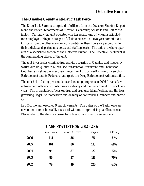#### *The Ozaukee County Anti-Drug Task Force*

The Drug Task Force is comprised of officers from the Ozaukee Sheriff's Department, the Police Departments of Mequon, Cedarburg, Saukville and Port Washington. Currently, the unit operates with ten agents, one of whom is a limitedterm employee. Mequon assigns a full-time officer on a two-year commitment. Officers from the other agencies work part-time, their hours vary according to their individual department's needs and staffing levels. The unit as a whole operates as a specialized section of the Detective Bureau. The Detective Lieutenant is the commanding officer of the unit.

The unit investigates criminal drug activity occurring in Ozaukee and frequently works with drug units in Milwaukee, Washington, Waukesha and Sheboygan Counties, as well as the Wisconsin Department of Justice-Division of Narcotics Enforcement and its Federal counterpart, the Drug Enforcement Administration.

The unit held 12 drug presentations and training programs in 2006 for area law enforcement officers, schools, private industry and the Department of Social Services. The presentations focus on drug and drug user identification, and the laws governing illegal use, possession and delivery of controlled substances and narcotics.

In 2006, the unit executed 9 search warrants. The duties of the Task Force are covert and cannot be readily discussed without compromising its effectiveness. Please refer to the statistics below for a breakdown of enforcement data.

|      | # of Cases | Persons Arrested | Charges    | % Felony |
|------|------------|------------------|------------|----------|
| 2006 | 115        | 36               | 65         | 51%      |
| 2005 | 164        | 86               | <b>118</b> | 68%      |
| 2004 | 94         | 87               | 122        | 72%      |
| 2003 | 86         | 37               | <b>111</b> | 70%      |
| 2002 | 79         | 49               | <b>120</b> | 64%      |

#### **CASE STATISTICS: 2002 - 2006**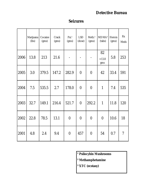## **Detective Bureau**

|      | Marijuana<br>(lbs) | Cocaine<br>(gms) | Crack<br>(gms) | $Psisi$ <sup>1</sup><br>(gms) | <b>LSD</b><br>(dose) | Meth. <sup>2</sup><br>(gms) | MDMA <sup>3</sup><br>(tabs) | Heroin<br>(gms) | Rx<br>Meds     |
|------|--------------------|------------------|----------------|-------------------------------|----------------------|-----------------------------|-----------------------------|-----------------|----------------|
| 2006 | 13.8               | 213              | 21.6           |                               |                      | $\overline{a}$              | 82<br>$+13.8$<br>gms        | 5.8             | 253            |
| 2005 | 3.0                | 379.5            | 147.2          | 282.9                         | $\overline{0}$       | $\overline{0}$              | 42                          | 33.4            | 591            |
| 2004 | 7.5                | 535.5            | 2.7            | 178.0                         | $\overline{0}$       | $\overline{0}$              | $\mathbf{1}$                | 7.4             | 535            |
| 2003 | 32.7               | 149.1            | 216.4          | 521.7                         | $\overline{0}$       | 292.2                       | $\mathbf{1}$                | 11.8            | 120            |
| 2002 | 22.8               | 78.5             | 13.1           | $\overline{0}$                | $\overline{0}$       | $\overline{0}$              | $\overline{0}$              | 10.6            | 18             |
| 2001 | 4.8                | 2.4              | 9.4            | $\overline{0}$                | 457                  | $\overline{0}$              | 54                          | 0.7             | $\overline{7}$ |

#### **Seizures**

- **¹ Psilocybin Mushrooms**
- **² Methamphetamine**
- **³ XTC (ecstasy)**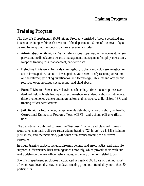## **Training Program**

# *Training Program*

The Sheriff's Department's 2006Training Program consisted of both specialized and in-service training within each division of the department. Some of the areas of specialized training that the specific divisions received includes:

- ♦ **Administrative Division** Traffic safety issues, supervision/management, jail supervision, media relations, records management, management/employee relations, weapons training, risk management, anti-terrorism.
- **Detective Division** Homicide investigation, robbery and cold case investigation, arson investigation, narcotics investigation, voice stress analysis, computer crime on the Internet, gambling investigation and technology, DNA technology, public recorded open meetings, sexual assault and child abuse.
- ♦ **Patrol Division** Street survival, evidence handling, crime scene response, standardized field sobriety testing, accident investigations, identification of intoxicated drivers, emergency vehicle operation, automated emergency defibrillator, CPR, and training officer certifications.
- ♦ **Jail Division** Intoximeter, gangs, juvenile detention, jail certification, jail health, Correctional Emergency Response Team (CERT), and training officer certifications.

The department continued to meet the Wisconsin Training and Standard Bureau's requirements in basic police recruit academy training (520 hours), basic jailer training (120 hours), and the mandatory (24) hours of in-service training for all sworn personnel.

In-house training subjects included firearms defense and arrest tactics, and basic life support. Officers view brief training videos monthly, which provide them with current updates on the law, officer safety issues, and many other job-related topics.

Sheriff's Department employees participated in nearly 4,000 hours of training, most of which was devoted to state-mandated training programs attended by more than 80 participants.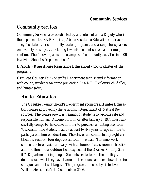## **Community Services**

# *Community Services*

Community Services are coordinated by a Lieutenant and a Deputy who is the department's D.A.R.E. (Drug Abuse Resistance Education) instructor. They facilitate other community related programs, and arrange for speakers on a variety of subjects, including law enforcement careers and crime prevention. The following are some examples of community activities in 2006 involving Sheriff 's Department staff:

**D.A.R.E. (Drug Abuse Resistance Education)** - 150 graduates of the programs

**Ozaukee County Fair** - Sheriff's Department tent; shared information with county residents on crime prevention, D.A.R.E., Explorers, child files, and hunter safety

# *Hunter Education*

The Ozaukee County Sheriff's Department sponsors a **Hunter Education** course approved by the Wisconsin Department of Natural Resources. The course provides training for students to become safe and responsible hunters. Anyone born on or after January 1, 1973 must successfully complete the course in order to purchase a hunting license in Wisconsin. The student must be at least twelve years of age in order to participate in hunter education. The classes are conducted by eight certified instructors: four deputies ad four civilian. The nine week course is offered twice annually, with 20 hours of class-room instruction and one three-hour outdoor field day held at the Ozaukee County Sheriff 's Department firing range. Students are tested on their ability to demonstrate what they have learned in the course and are allowed to fire shotguns and rifles at targets. The program, directed by Detective William Steck, certified 47 students in 2006.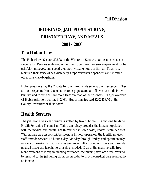#### **Jail Division**

# **BOOKINGS, JAIL POPULATIONS, PRISONER DAYS, AND MEALS 2001 - 2006**

## *The Huber Law*

The Huber Law, Section 303.08 of the Wisconsin Statutes, has been in existence since 1913. Persons sentenced under the Huber Law may seek employment, or be gainfully employed, and spend their non-working hours in the jail. Thus, they maintain their sense of self-dignity by supporting their dependents and meeting other financial obligations.

Huber prisoners pay the County for their keep while serving their sentences. They are kept separate from the main prisoner population, are allowed to do their own laundry, and in general have more freedom than other prisoners. The jail averaged 41 Huber prisoners per day in 2006. Huber inmates paid \$232,453.50 to the County Treasurer for their board.

## *Health Services*

The jail Health Services division is staffed by two full-time RNs and one full-time Health Screening Technician. This team jointly provides the inmate population with the medical and mental health care and in some cases, limited dental services. With inmate care responsibilities being a 24-hour operation, the Health Services staff provide services 12-hours a day, Monday through Friday, and approximately 4-hours on weekends. Both nurses are on-call 24/7 during off hours and provide medical triage and telephone consult as needed. Due to the many specific treatment regimens that require nursing assistance, the nursing staff are often required to respond to the jail during off hours in order to provide medical care required by an inmate.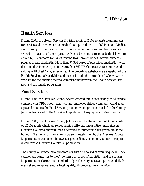## **Jail Division**

# *Health Services*

During 2006, the Health Services Division received 2,009 requests from inmates for service and delivered actual medical care procedures to 1,860 inmates. Medical staff, through written instruction for non-emergent or non-treatable issues answered the balance of the requests. Advanced medical care, outside the jail was received by 112 inmates for issues ranging from broken bones, internal ailments, pregnancy and childbirth. More than 77,394 doses of prescribed medication were distributed to inmates by staff. More than 562 TB skin tests were administered resulting in 18 chest X-ray screenings. The preceding statistics are a snapshot of the Health Services daily activities and do not include the more than 1,800 written responses for the ongoing medical care planning between the Health Service Division and the inmate population.

# *Food Services*

During 2006, the Ozaukee County Sheriff entered into a cost-savings food service contract with CBM Foods, a non-county employee staffed company. CBM manages and operates the Food Service program which provides meals for the County Jail inmates as well as the Ozaukee Department of Aging Senior Meal Program.

During 2006, the Ozaukee County Jail provided the Department of Aging a total of 22,652 meals which are served at nine different senior citizen meal sites in Ozaukee County along with meals delivered to numerous elderly who are home bound. The menu for the senior program is established by the Ozaukee County Department of Aging and follows a separate dietary standard than for those produced for the Ozaukee County Jail population.

The county jail inmate meal program consists of a daily diet averaging 2500—2750 calories and conforms to the American Corrections Association and Wisconsin Department of Corrections standards. Special dietary meals are provided daily for medical and religious reasons totaling 201,398 prepared meals in 2006.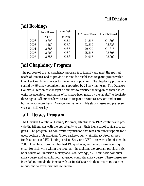## **Jail Division**

|      | <b>Total Book-</b><br>ings | Ave. Daily<br>Jail Pop. | # Prisoner Days | # Meals Served |
|------|----------------------------|-------------------------|-----------------|----------------|
| 2006 | 2,890                      | 213.4                   | 71,812          | 201,398        |
| 2005 | 4,160                      | 202.2                   | 73,819          | 195,828        |
| 2004 | 3,686                      | 216.6                   | 79,279          | 201,316        |
| 2003 | 3,709                      | 206.9                   | 75,513          | 198,696        |
| 2002 | 3,555                      | 205.3                   | 74,917          | 198,202        |

# *Jail Bookings*

# *Jail Chaplaincy Program*

The purpose of the jail chaplaincy program is to identify and meet the spiritual needs of inmates, and to provide a means for established religious groups within Ozaukee County to minister to the inmate population. The chaplaincy program is staffed by 36 clergy volunteers and supported by 24 lay volunteers. The Ozaukee County Jail recognizes the right of inmates to practice the religion of their choice while incarcerated. Substantial efforts have been made by the jail staff to facilitate these rights. All inmates have access to religious resources, services and instruction on a voluntary basis. Non-denominational Bible study classes and prayer services are held weekly.

# *Jail Literacy Program*

The Ozaukee County Jail Literacy Program, established in 1992, continues to provide the jail inmates with the opportunity to earn their high school equivalency degrees. The program is a non-profit organization that relies on public support for a good portion of its activities. The Ozaukee County Jail Literacy Program also funds an on-site GED Testing service. Sixty-one GED tests were administered in 2006. The literacy program has had 193 graduates, with many more receiving credit for their work within the program. In addition, the program provides a six hour course on "Decision Making and Goal Setting", a 20 hour basic computer skills course, and an eight hour advanced computer skills course. These classes are intended to provide the inmate with useful skills to help them return to the community and to lower criminal recidivism.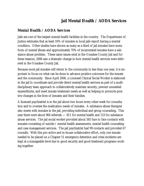## **Jail Mental Health / AODA Services**

#### *Mental Health / AODA Services*

Jails are one of the largest mental health facilities in the country. The Department of Justice estimates that as least 16% of inmates in local jails report having a mental condition. Other studies have shown as many as a third of jail inmates have some form of mental illness and approximately 70% of incarcerated inmates have a substance abuse problem. These same issues exist in the Ozaukee County Jail and for these reasons, 2006 saw a dramatic change in how mental health services were delivered in the Ozaukee County Jail.

Because most jail inmates will return to the community in less than one year, it is important to focus on what can be done to advance positive outcomes for the inmate and the community. Since April 2006, a Licensed Clinical Social Worker is stationed in the jail to coordinate and provide direct mental health services as part of a multidisciplinary team approach to collaboratively maintain security, prevent unneeded expenditures, and meet inmate treatment needs as well as helping to promote positive changes in the lives of inmates and their families.

A licensed psychiatrist is in the jail about two hours every other week for consultation and to oversee the medication needs of inmates. A substance abuse therapist also meets with inmates in the jail, providing individual and group counseling. This year there were about 964 referrals — 811 for mental health and 153 for substance abuse services. The jail social worker provided about 565 face to face contacts with inmates consisting of suicide / mental health assessments, mental health counseling and case management services. The jail psychiatrist had 99 contacts and provided 67 consults. With this pro-active and in-house collaborative effort, only one inmate needed to be placed on a Chapter 51 emergency detention and crisis incidents are kept at a manageable level due to good security and good treatment programs working together.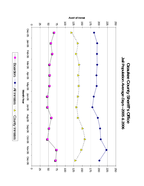

Boarders

**Boarders** 

All Inmates

-<br>
- M Intrates --<br>
All Intrates

County Inmates

Jail Population Average Days-2005 & 2006 **Jail Population** *Average Days***Ozaukee County Sheriff's Office Ozaukee County Sheriff's Office --2005 & 2006**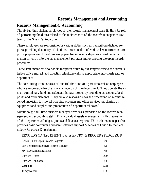## **Records Management and Accounting**

## **Records Management & Accounting**

The six full-time civilian employees of the records management team fill the vital role of performing the duties related to the maintenance of the records management system for the Sheriff 's Department.

These employees are responsible for various duties such as transcribing dictated reports, providing data entry of citations, dissemination of various law enforcement reports, preparation of civil process papers for service by deputies, coordinating information for entry into the jail management program and overseeing the open records procedure.

These staff members also handle reception duties by assisting visitors to the administrative office and jail, and directing telephone calls to appropriate individuals and/or departments.

The accounting team consists of one full-time and one part-time civilian employees who are responsible for the financial records of the department. They operate the inmate commissary fund and safeguard inmate monies by providing an account for deposits and disbursements. They are also responsible for the processing of monies received, invoicing for the jail boarding program and other services, purchasing of equipment and supplies and preparation of departmental payroll.

Additionally, a full-time business manager provides supervision of the records management and accounting staff. This individual assists management with preparation of the departmental budget, grants and financial reports. The business manager also provides basic computer hardware/software support & serves as liaison to the Technology Resources Department.

| RECORDS MANAGEMENT DATA ENTRY & RECORDS PROCESSED |      |
|---------------------------------------------------|------|
| General Public Open Records Requests              | 940  |
| Law Enforcement Related Records Requests          | 870  |
| MV 4000 Accident Records                          | 786  |
| Citations-State                                   | 3625 |
| Citations—Municipal                               | 398  |
| Warnings                                          | 6391 |
| 15 day Notices                                    | 1132 |
|                                                   |      |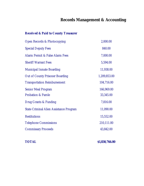# **Records Management & Accounting**

#### *Received & Paid to County Treasurer*

| Open Records & Photocopying                    | 2,000.00     |
|------------------------------------------------|--------------|
| <b>Special Deputy Fees</b>                     | 840.00       |
| Alarm Permit & False Alarm Fees                | 7,000.00     |
| <b>Sheriff Warrant Fees</b>                    | 5,594.00     |
| <b>Municipal Inmate Boarding</b>               | 11,938.00    |
| <b>Out of County Prisoner Boarding</b>         | 1,209,853.00 |
| <b>Transportation Reimbursement</b>            | 104,716.00   |
| <b>Senior Meal Program</b>                     | 166,969.00   |
| <b>Probation &amp; Parole</b>                  | 33,345.00    |
| Drug Grants & Funding                          | 7,816.00     |
| <b>State Criminal Alien Assistance Program</b> | 11,090.00    |
| <b>Restitutions</b>                            | 15,552.00    |
| <b>Telephone Commissions</b>                   | 210,111.00   |
| <b>Commissary Proceeds</b>                     | 43,842.00    |

**TOTAL \$1,830,766.00**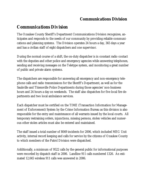#### **Communications Division**

# *Communications Division*

The Ozaukee County Sheriff's Department Communications Division recognizes, anticipates and responds to the needs of our community by providing reliable communications and planning systems. The Division operates 24 hours a day, 365 days a year and has a civilian staff of eight dispatchers and one supervisor.

During the normal course of a shift, the on-duty dispatcher is in constant radio contact with the deputies and other police and emergency agencies while answering telephones, sending and receiving messages on the Teletype system, and monitoring a great number of public and private alarm systems.

The dispatchers are responsible for answering all emergency and non-emergency telephone calls and radio transmissions for the Sheriff's Department, as well as for the Saukville and Thiensville Police Departments during those agencies' non-business hours and 24 hours a day on weekends. The staff also dispatches for five local fire departments and two local ambulance services.

Each dispatcher must be certified on the TIME (Transaction Information for Management of Enforcement) System by the Crime Information Bureau as this division is also responsible for the entry and maintenance of all warrants issued by the local courts. All temporary restraining orders, injunctions, missing persons, stolen vehicles and numerous other stolen articles must also be entered and maintained.

The staff issued a total number of 8049 incidents for 2006, which included MEG Unit activity, internal record keeping and calls for service by the citizens of Ozaukee County to which members of the Patrol Division were dispatched.

Additionally, a minimum of 9522 calls by the general public for informational purposes were recorded by dispatch staff in 2006. Landline 911 calls numbered 1326. An estimated 12,045 wireless 911 calls wee answered in 2006.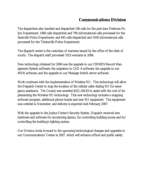## **Communications Division**

The dispatchers also handled and dispatched 106 calls for the part-time Fredonia Police Department; 1088 calls dispatched and 790 informational calls processed for the Saukville Police Department; and 645 calls dispatched and 1656 informational calls processed for the Thiensville Police Department.

The dispatch center is the custodian of warrants issued by the office of the clerk of courts. The dispatch staff processed 1023 warrants in 2006.

New technology obtained for 2006 was the upgrade to our CRIMES Record Management System software; the migration to CAD 6 software; the upgrade to our MDB software; and the upgrade to our Message Switch server software.

Work continues with the implementation of Wireless 911. This technology will allow the Dispatch Center to map the location of the cellular caller dialing 911 for emergency assistance. The County was awarded \$521,184.83 to assist with the cost of implementing the Wireless 911 technology. This new technology includes a mapping software program, additional phone trunks and new 911 equipment. The equipment was ordered in December, and delivery is expected mid-February 2007.

With the upgrade to the Justice Center's Security System, Dispatch received new hardware and software for monitoring alarms, for controlling building access and for controlling the building's lighting system.

Our Division looks forward to the upcoming technological changes and upgrades to our Communications' Center in 2007, which will enhance officer and public safety.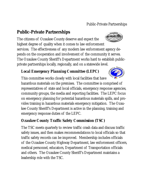## **Public-Private Partnerships**

The citizens of Ozaukee County deserve and expect the highest degree of quality when it comes to law enforcement services. The effectiveness of any modern law enforcement agency depends on the cooperation and involvement of the community it serves. The Ozaukee County Sheriff's Department works hard to establish publicprivate partnerships locally, regionally, and on a statewide level.

## *Local Emergency Planning Committee (LEPC)*

This committee works closely with local facilities that have hazardous materials on the premises. The committee is comprised of representatives of state and local officials, emergency response agencies, community groups, the media and reporting facilities. The LEPC focus on emergency planning for potential hazardous materials spills, and provides training in hazardous materials emergency mitigation. The Ozaukee County Sheriff's Department is active in the planning, training and emergency response duties of the LEPC.

## *Ozaukee County Traffic Safety Commission (TSC)*

The TSC meets quarterly to review traffic crash data and discuss traffic safety issues, and then makes recommendations to local officials so that traffic safety records can be improved. Membership includes officials of the Ozaukee County Highway Department, law enforcement officers, medical personnel, educators, Department of Transportation officials and others. The Ozaukee County Sheriff's Department maintains a leadership role with the TSC.

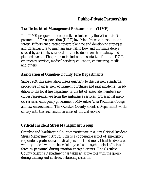#### **Public-Private Partnerships**

#### *Traffic Incident Management Enhancements (TIME)*

The TIME program is a cooperative effort led by the Wisconsin Department of Transportation (DOT) involving freeway transportation safety. Efforts are directed toward planning and developing strategies and infrastructure to maintain safe traffic flow and minimize delays caused by accidents, stranded motorists, debris on the roadway, and planned events. The program includes representatives from the DOT, emergency services, medical services, education, engineering, media and others.

#### *Association of Ozaukee County Fire Departments*

Since 1969, this association meets quarterly to discuss new standards, procedure changes, new equipment purchases and past incidents. In addition to the local fire departments, the list of associate members includes representatives from the ambulance services, professional medical services, emergency government, Milwaukee Area Technical College and law enforcement. The Ozaukee County Sheriff's Department works closely with this association in areas of mutual service.

#### *Critical Incident Stress Management Group*

Ozaukee and Washington Counties participate in a joint Critical Incident Stress Management Group. This is a cooperative effort of emergency responders, professional medical personnel and mental health advocates who try to deal with the harmful physical and psychological effects suffered by personnel during emotion-charged events. The Ozaukee County Sheriff's Department has taken an active role with the group during training and in stress debriefing sessions.